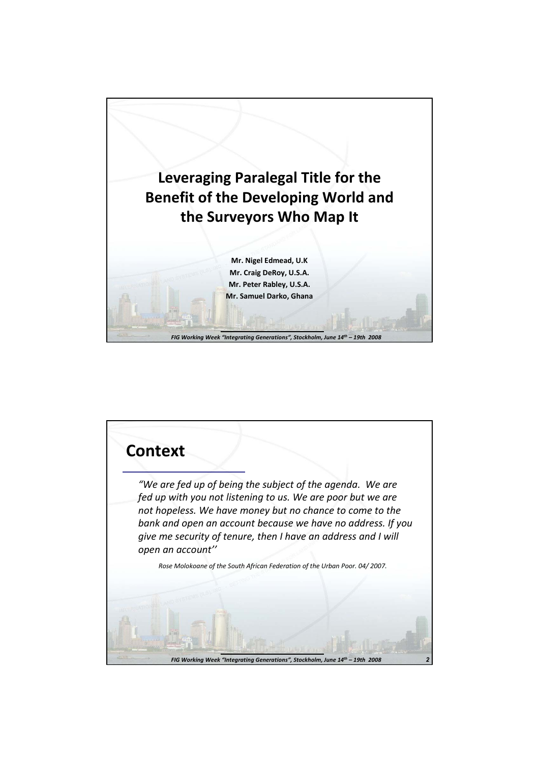

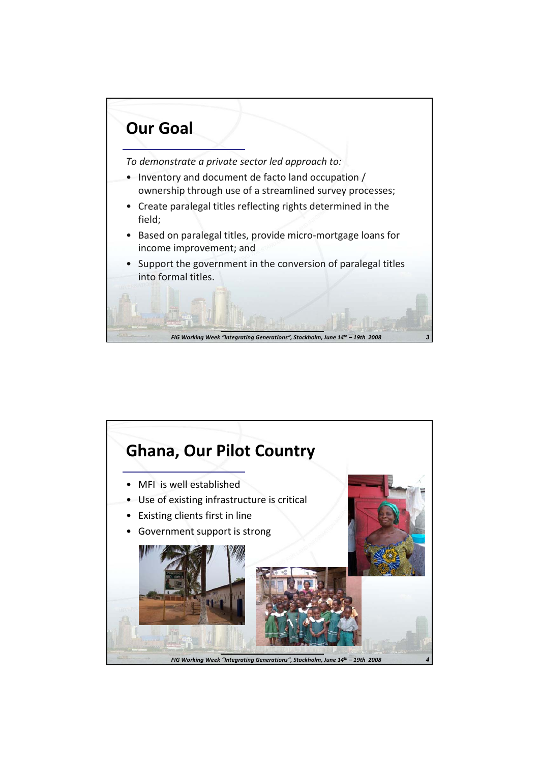

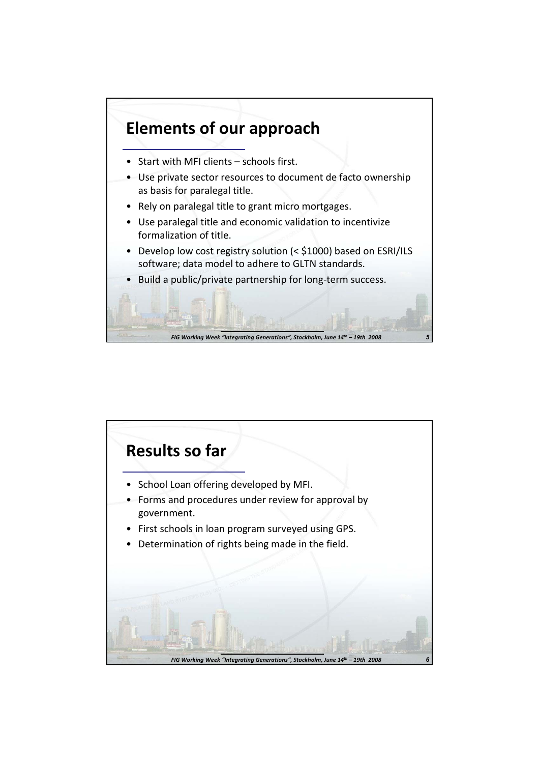